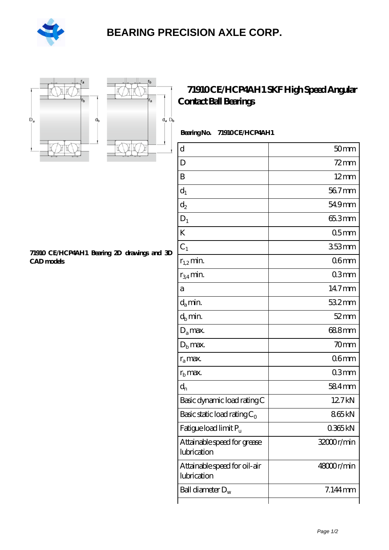

## **[BEARING PRECISION AXLE CORP.](https://m.hilalanaokulu.com)**





## **[Contact Ball Bearings](https://m.hilalanaokulu.com/skf-bearings/71910-ce-hcp4ah1.html)**

**[71910 CE/HCP4AH1 SKF High Speed Angular](https://m.hilalanaokulu.com/skf-bearings/71910-ce-hcp4ah1.html)**

Bearing No. 71910 CE/HCP4AH1

| $\overline{\mathrm{d}}$                     | 50 <sub>mm</sub> |
|---------------------------------------------|------------------|
| D                                           | $72 \text{mm}$   |
| B                                           | $12 \text{mm}$   |
| $d_1$                                       | 567mm            |
| $\mathrm{d}_2$                              | 54.9mm           |
| $D_1$                                       | 65.3mm           |
| K                                           | 05 <sub>mm</sub> |
| $C_1$                                       | 353mm            |
| $r_{1,2}$ min.                              | 06 <sub>mm</sub> |
| $r_{34}$ min.                               | 03mm             |
| а                                           | 14.7mm           |
| $d_a$ min.                                  | 532mm            |
| $d_b$ min.                                  | $52 \text{mm}$   |
| $D_a$ max.                                  | 688mm            |
| $D_{b}$ max.                                | 70 <sub>mm</sub> |
| $r_a$ max.                                  | 06 <sub>mm</sub> |
| $r_{\rm b}$ max.                            | 03mm             |
| $d_{n}$                                     | 584mm            |
| Basic dynamic load rating C                 | 12.7kN           |
| Basic static load rating $C_0$              | 865kN            |
| Fatigue load limit Pu                       | 0365kN           |
| Attainable speed for grease<br>lubrication  | 32000r/min       |
| Attainable speed for oil-air<br>lubrication | 48000r/min       |
| Ball diameter $D_w$                         | $7.144$ mm       |
|                                             |                  |

**[71910 CE/HCP4AH1 Bearing 2D drawings and 3D](https://m.hilalanaokulu.com/pic-660620.html) [CAD models](https://m.hilalanaokulu.com/pic-660620.html)**